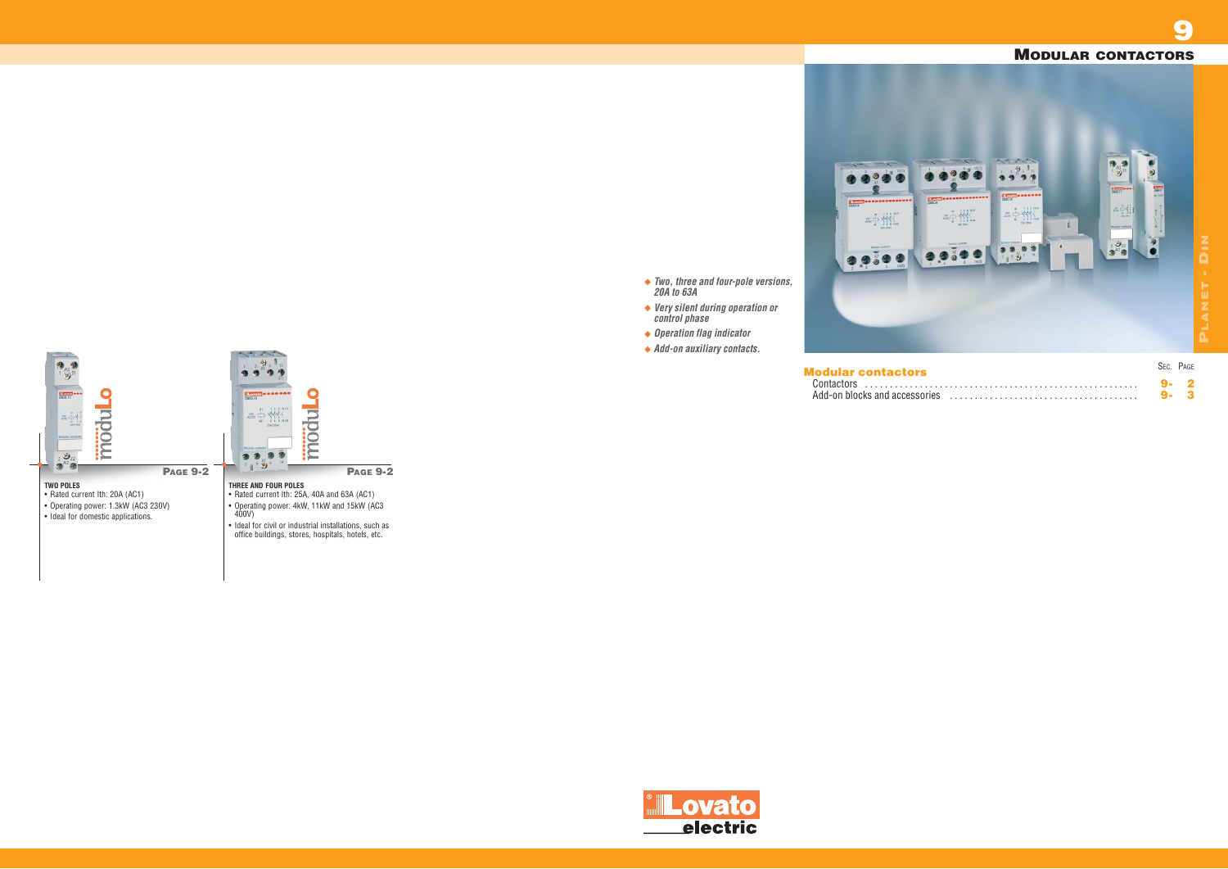

- **PAGE 9-2**
- Operating power: 4kW, 11kW and 15kW (AC3
- Ideal for civil or industrial installations, such as office buildings, stores, hospitals, hotels, etc.



**9**

- *Two, three and four-pole versions, 20A to 63A Very silent during operation or*
- *control phase*
- *Operation flag indicator*
- *Add-on auxiliary contacts.*

## **MODULAR CONTACTORS**



**Modular contactors** Add-on blocks and accessories . . . . . . . . . . . . . . . . . . . . . . . . . . . . . . . . . . . . . . **9- 3**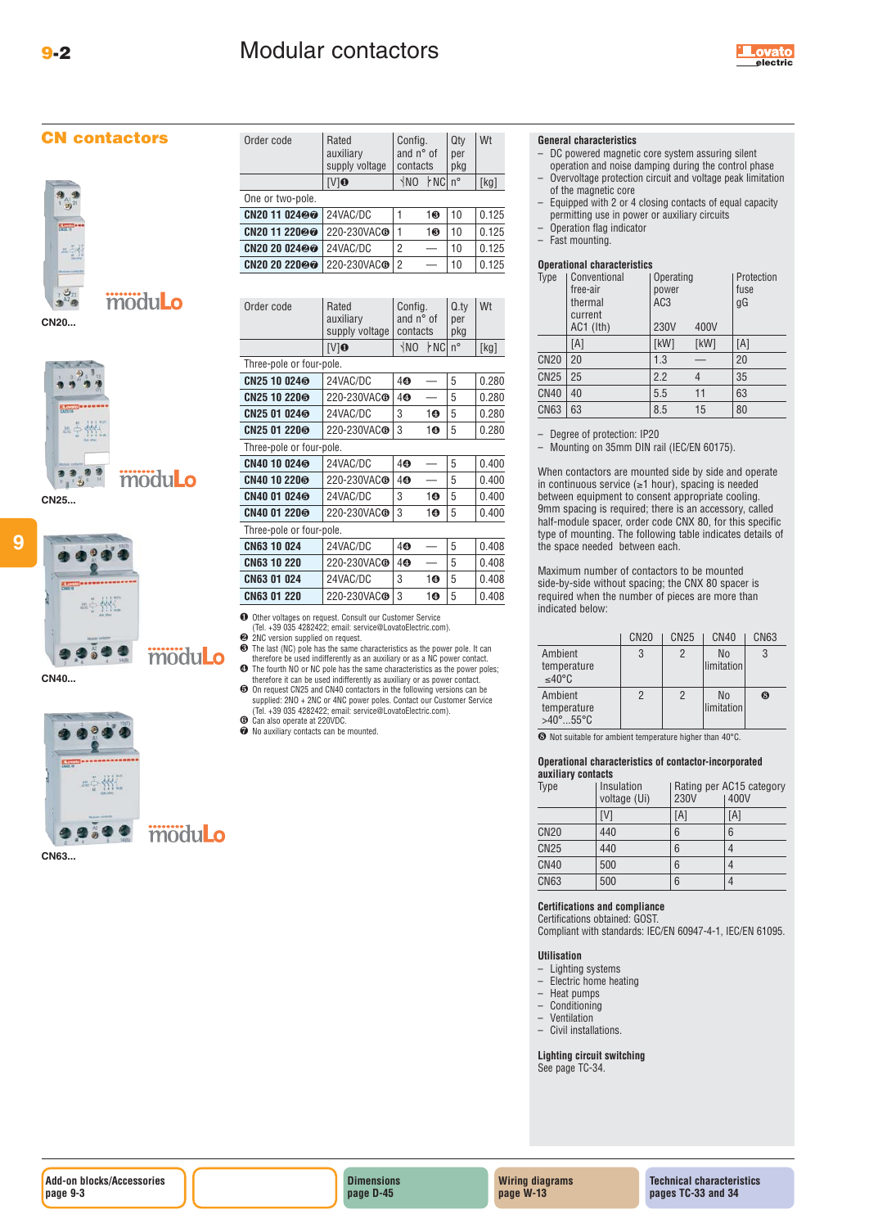







**9**



**CN40...**



**CN63...**

| Order code               | Rated<br>auxiliary<br>supply voltage | Config.<br>and n° of<br>contacts |                    | Qty<br>per<br>pkg | Wt    |
|--------------------------|--------------------------------------|----------------------------------|--------------------|-------------------|-------|
|                          | $[V]$ <sup>O</sup>                   | $\sqrt{NQ}$                      | r <sub>NC</sub> n° |                   | [kg]  |
| One or two-pole.         |                                      |                                  |                    |                   |       |
| CN20 11 02400            | 24VAC/DC                             |                                  | 10                 | 10                | 0.125 |
| CN20 11 220@@            | 220-230VAC <sup>O</sup>              | 1                                | 10                 | 10                | 0.125 |
| CN20 20 024 <sup>@</sup> | 24VAC/DC                             | 2                                |                    | 10                | 0.125 |
| CN20 20 220@@            | 220-230VAC <sup>O</sup>              | 2                                |                    | 10                | 0.125 |

| Order code               | Rated<br>auxiliary<br>supply voltage | Config.<br>and $n^{\circ}$ of<br>contacts |     | Q.tv<br>per<br>pkg | Wt    |
|--------------------------|--------------------------------------|-------------------------------------------|-----|--------------------|-------|
|                          | [V]O                                 | <b>NO</b>                                 | ⊁NC | $n^{\circ}$        | [kg]  |
| Three-pole or four-pole. |                                      |                                           |     |                    |       |
| CN25 10 024 <sup>®</sup> | 24VAC/DC                             | 40                                        |     | 5                  | 0.280 |
| CN25 10 220 <sup>6</sup> | 220-230VACG                          | 40                                        |     | 5                  | 0.280 |
| CN25 01 024 <sup>®</sup> | 24VAC/DC                             | 3                                         | 10  | 5                  | 0.280 |
| CN25 01 220®             | 220-230VAC <sup>O</sup>              | 3                                         | 10  | 5                  | 0.280 |
| Three-pole or four-pole. |                                      |                                           |     |                    |       |
| CN40 10 024®             | 24VAC/DC                             | 40                                        |     | 5                  | 0.400 |
| CN40 10 220®             | 220-230VAC <sup>O</sup>              | 40                                        |     | 5                  | 0.400 |
| CN40 01 024®             | 24VAC/DC                             | 3                                         | 10  | 5                  | 0.400 |
| CN40 01 220®             | 220-230VAC <sup>O</sup>              | 3                                         | 10  | 5                  | 0.400 |
| Three-pole or four-pole. |                                      |                                           |     |                    |       |
| CN63 10 024              | 24VAC/DC                             | 40                                        |     | 5                  | 0.408 |
| CN63 10 220              | 220-230VAC <sup>O</sup>              | 40                                        |     | 5                  | 0.408 |
| CN63 01 024              | 24VAC/DC                             | 3                                         | 10  | 5                  | 0.408 |
| <b>CN63 01 220</b>       | 220-230VAC <sup>O</sup>              | 3                                         | 10  | 5                  | 0.408 |

❶ Other voltages on request. Consult our Customer Service (Tel. +39 035 4282422; email: service@LovatoElectric.com). ❷ 2NC version supplied on request.

- **❸** The last (NC) pole has the same characteristics as the power pole. It can therefore be used indifferently as an auxiliary or as a NC power contact. <br>● The fourth NO or NC pole has the same characteristics as the power
- therefore it can be used indifferently as auxiliary or as power contact.
- ❺ On request CN25 and CN40 contactors in the following versions can be supplied: 2NO + 2NC or 4NC power poles. Contact our Customer Service (Tel. +39 035 4282422; email: service@LovatoElectric.com). **O** Can also operate at 220VDC.
- ❼ No auxiliary contacts can be mounted.

**General characteristics**

- DC powered magnetic core system assuring silent
- operation and noise damping during the control phase – Overvoltage protection circuit and voltage peak limitation of the magnetic core

**electric**

- Equipped with 2 or 4 closing contacts of equal capacity permitting use in power or auxiliary circuits
- Operation flag indicator
- Fast mounting.

#### **Operational characteristics**

| Type        | Conventional<br>free-air<br>thermal<br>current | Operating<br>power<br>AC3 |      | Protection<br>fuse<br>gG |
|-------------|------------------------------------------------|---------------------------|------|--------------------------|
|             | $AC1$ ( $I$ th)                                | <b>230V</b>               | 400V |                          |
|             | [A]                                            | [kW]                      | [kW] | [A]                      |
| <b>CN20</b> | 20                                             | 1.3                       |      | 20                       |
| <b>CN25</b> | 25                                             | 2.2                       | 4    | 35                       |
| <b>CN40</b> | 40                                             | 5.5                       | 11   | 63                       |
| <b>CN63</b> | 63                                             | 8.5                       | 15   | 80                       |

– Degree of protection: IP20

– Mounting on 35mm DIN rail (IEC/EN 60175).

When contactors are mounted side by side and operate in continuous service (≥1 hour), spacing is needed between equipment to consent appropriate cooling. 9mm spacing is required; there is an accessory, called half-module spacer, order code CNX 80, for this specific type of mounting. The following table indicates details of the space needed between each.

Maximum number of contactors to be mounted side-by-side without spacing; the CNX 80 spacer is required when the number of pieces are more than indicated below:

|                                            | CN <sub>20</sub> | <b>CN25</b>    | <b>CN40</b>      | CN <sub>63</sub> |
|--------------------------------------------|------------------|----------------|------------------|------------------|
| Ambient<br>temperature<br>≤40°C            | 3                | $\overline{2}$ | No<br>limitation |                  |
| Ambient<br>temperature<br>$>40^\circ$ 55°C | 2                | 2              | No<br>limitation | 3                |

❽ Not suitable for ambient temperature higher than 40°C.

### **Operational characteristics of contactor-incorporated**

| auxiliary contacts |                            |                                                 |     |  |
|--------------------|----------------------------|-------------------------------------------------|-----|--|
| Type               | Insulation<br>voltage (Ui) | Rating per AC15 category<br><b>230V</b><br>400V |     |  |
|                    | [V]                        | [A]                                             | [A] |  |
| <b>CN20</b>        | 440                        | 6                                               | 6   |  |
| <b>CN25</b>        | 440                        | 6                                               |     |  |
| <b>CN40</b>        | 500                        | 6                                               |     |  |
| <b>CN63</b>        | 500                        | 6                                               |     |  |

#### **Certifications and compliance**

Certifications obtained: GOST. Compliant with standards: IEC/EN 60947-4-1, IEC/EN 61095.

#### **Utilisation**

- Lighting systems
- Electric home heating
- 
- Heat pumps<br>– Conditioning<br>– Ventilation – Conditioning
- **Ventilation**
- Civil installations.

**Lighting circuit switching** See page TC-34.

**Dimensions page D-45**

**Wiring diagrams page W-13**